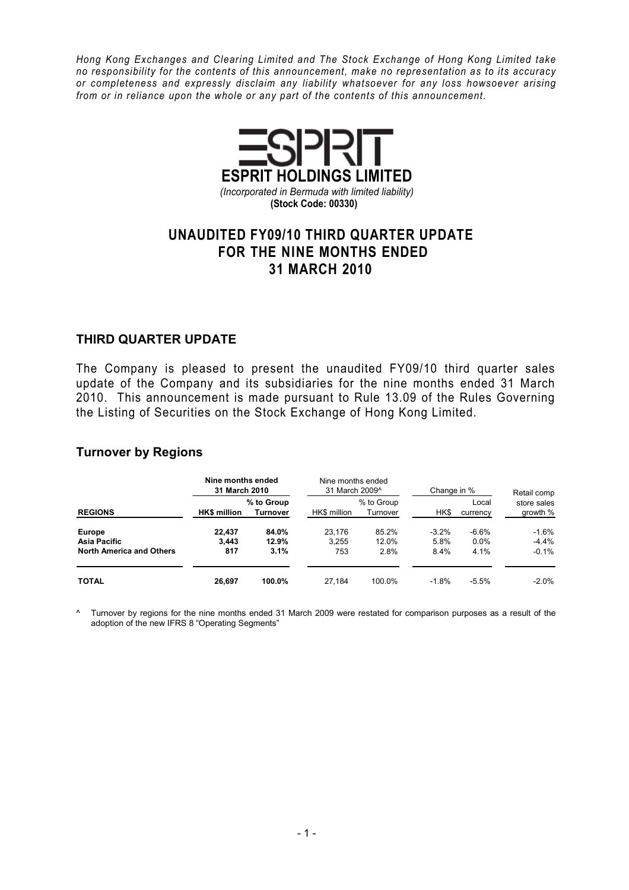Hong Kong Exchanges and Clearing Limited and The Stock Exchange of Hong Kong Limited take no responsibility for the contents of this announcement, make no representation as to its accuracy or completeness and expressly disclaim any liability whatsoever for any loss howsoever arising from or in reliance upon the whole or any part of the contents of this announcement.



### UNAUDITED FY09/10 THIRD QUARTER UPDATE FOR THE NINE MONTHS ENDED 31 MARCH 2010

#### THIRD QUARTER UPDATE

The Company is pleased to present the unaudited FY09/10 third quarter sales update of the Company and its subsidiaries for the nine months ended 31 March 2010. This announcement is made pursuant to Rule 13.09 of the Rules Governing the Listing of Securities on the Stock Exchange of Hong Kong Limited.

### Turnover by Regions

|                                                                  | Nine months ended<br>31 March 2010 |                        | Nine months ended<br>31 March 2009^ |                        | Change in %     | Retail comp        |                         |  |
|------------------------------------------------------------------|------------------------------------|------------------------|-------------------------------------|------------------------|-----------------|--------------------|-------------------------|--|
| <b>REGIONS</b>                                                   | <b>HK\$</b> million                | % to Group<br>Turnover | HK\$ million                        | % to Group<br>Turnover | HK\$            | Local<br>currency  | store sales<br>growth % |  |
| <b>Europe</b><br>Asia Pacific<br><b>North America and Others</b> | 22.437<br>3.443                    | 84.0%<br>12.9%         | 23.176<br>3.255                     | 85.2%<br>12.0%         | $-3.2%$<br>5.8% | $-6.6%$<br>$0.0\%$ | $-1.6%$<br>$-4.4%$      |  |
| <b>TOTAL</b>                                                     | 817<br>26.697                      | 3.1%<br>100.0%         | 753<br>27.184                       | 2.8%<br>100.0%         | 8.4%<br>$-1.8%$ | 4.1%<br>$-5.5\%$   | $-0.1%$<br>$-2.0%$      |  |

^ Turnover by regions for the nine months ended 31 March 2009 were restated for comparison purposes as a result of the adoption of the new IFRS 8 "Operating Segments"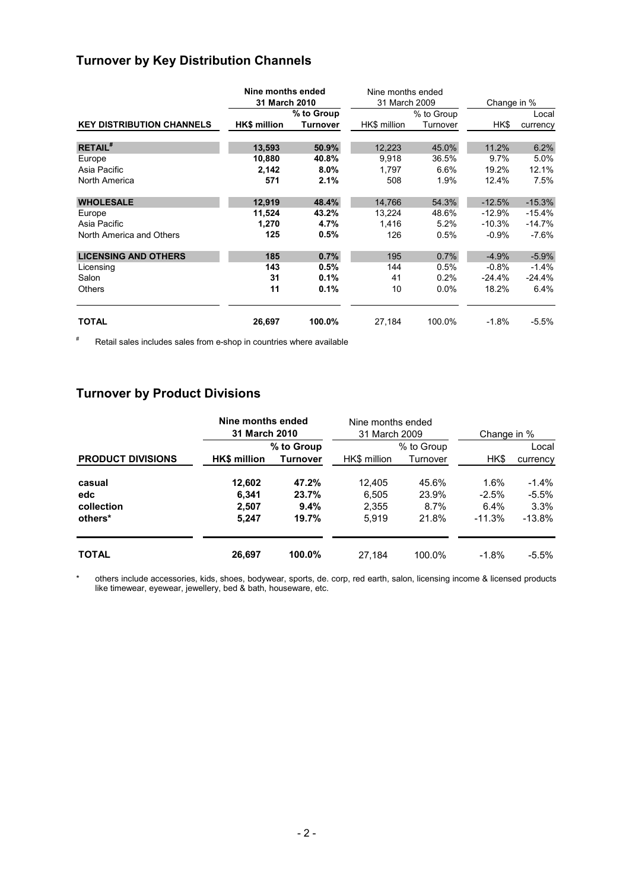# Turnover by Key Distribution Channels

|                                  | Nine months ended   |                 | Nine months ended |          |             |          |  |
|----------------------------------|---------------------|-----------------|-------------------|----------|-------------|----------|--|
|                                  | 31 March 2010       |                 | 31 March 2009     |          | Change in % |          |  |
|                                  |                     | % to Group      | % to Group        |          | Local       |          |  |
| <b>KEY DISTRIBUTION CHANNELS</b> | <b>HK\$</b> million | <b>Turnover</b> | HK\$ million      | Turnover | HK\$        | currency |  |
| <b>RETAIL</b> <sup>#</sup>       | 13,593              | 50.9%           | 12,223            | 45.0%    | 11.2%       | 6.2%     |  |
| Europe                           | 10,880              | 40.8%           | 9,918             | 36.5%    | 9.7%        | 5.0%     |  |
| Asia Pacific                     | 2,142               | $8.0\%$         | 1,797             | 6.6%     | 19.2%       | 12.1%    |  |
| North America                    | 571                 | 2.1%            | 508               | 1.9%     | 12.4%       | 7.5%     |  |
| <b>WHOLESALE</b>                 | 12,919              | 48.4%           | 14,766            | 54.3%    | $-12.5%$    | $-15.3%$ |  |
| Europe                           | 11,524              | 43.2%           | 13,224            | 48.6%    | $-12.9\%$   | $-15.4%$ |  |
| Asia Pacific                     | 1,270               | 4.7%            | 1,416             | 5.2%     | $-10.3%$    | $-14.7%$ |  |
| North America and Others         | 125                 | 0.5%            | 126               | 0.5%     | $-0.9%$     | $-7.6\%$ |  |
| <b>LICENSING AND OTHERS</b>      | 185                 | 0.7%            | 195               | 0.7%     | $-4.9%$     | $-5.9%$  |  |
| Licensing                        | 143                 | 0.5%            | 144               | 0.5%     | $-0.8%$     | $-1.4%$  |  |
| Salon                            | 31                  | 0.1%            | 41                | 0.2%     | $-24.4\%$   | $-24.4%$ |  |
| <b>Others</b>                    | 11                  | 0.1%            | 10                | 0.0%     | 18.2%       | 6.4%     |  |
| <b>TOTAL</b>                     | 26,697              | 100.0%          | 27,184            | 100.0%   | $-1.8%$     | $-5.5%$  |  |

# Retail sales includes sales from e-shop in countries where available

# Turnover by Product Divisions

|                          | Nine months ended<br><b>31 March 2010</b> |                 | Nine months ended<br>31 March 2009 |            | Change in % |          |  |  |
|--------------------------|-------------------------------------------|-----------------|------------------------------------|------------|-------------|----------|--|--|
|                          |                                           | % to Group      |                                    | % to Group |             | Local    |  |  |
| <b>PRODUCT DIVISIONS</b> | <b>HK\$</b> million                       | <b>Turnover</b> | HK\$ million                       | Turnover   | HK\$        | currency |  |  |
| casual                   | 12,602                                    | 47.2%           | 12.405                             | 45.6%      | 1.6%        | $-1.4%$  |  |  |
| edc                      | 6.341                                     | 23.7%           | 6.505                              | 23.9%      | $-2.5\%$    | $-5.5%$  |  |  |
| collection               | 2.507                                     | 9.4%            | 2.355                              | 8.7%       | 6.4%        | 3.3%     |  |  |
| others*                  | 5,247                                     | 19.7%           | 5.919                              | 21.8%      | $-11.3%$    | $-13.8%$ |  |  |
| <b>TOTAL</b>             | 26,697                                    | 100.0%          | 27.184                             | 100.0%     | $-1.8%$     | $-5.5%$  |  |  |

\* others include accessories, kids, shoes, bodywear, sports, de. corp, red earth, salon, licensing income & licensed products like timewear, eyewear, jewellery, bed & bath, houseware, etc.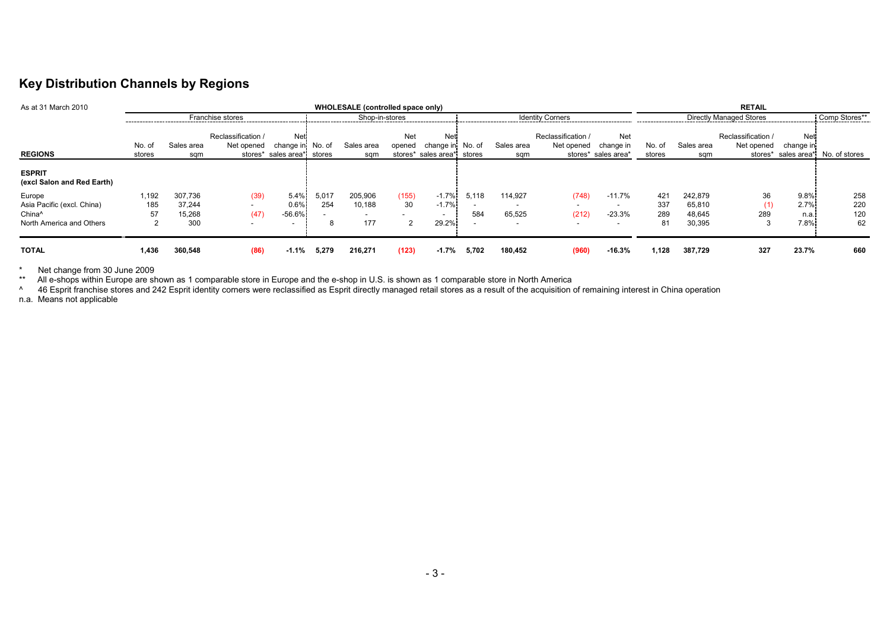### Key Distribution Channels by Regions

| As at 31 March 2010                                                        | WHOLESALE (controlled space only) |                                    |                                                                      |                                                |              |                                    |               |                                                              |                                          | <b>RETAIL</b>     |                                                                        |                                                                               |                         |                                       |                                  |                                         |                         |
|----------------------------------------------------------------------------|-----------------------------------|------------------------------------|----------------------------------------------------------------------|------------------------------------------------|--------------|------------------------------------|---------------|--------------------------------------------------------------|------------------------------------------|-------------------|------------------------------------------------------------------------|-------------------------------------------------------------------------------|-------------------------|---------------------------------------|----------------------------------|-----------------------------------------|-------------------------|
|                                                                            | Franchise stores                  |                                    |                                                                      |                                                |              | Shop-in-stores                     |               |                                                              | <b>Identity Corners</b>                  |                   |                                                                        | Directly Managed Stores                                                       |                         |                                       | Comp Stores**                    |                                         |                         |
| <b>REGIONS</b>                                                             | No. of<br>stores                  | Sales area<br>sqm                  | Reclassification /<br>Net opened                                     | Net<br>change in<br>stores* sales area* stores | No. of       | Sales area<br>sqm                  | Net<br>opened | <b>Net</b><br>change in No. of<br>stores* sales area* stores |                                          | Sales area<br>sqm | Reclassification /<br>Net opened                                       | Net<br>change in<br>stores* sales area*                                       | No. of<br>stores        | Sales area<br>sqm                     | Reclassification /<br>Net opened | Net<br>change in<br>stores* sales area* | No. of stores           |
| <b>ESPRIT</b><br>(excl Salon and Red Earth)                                |                                   |                                    |                                                                      |                                                |              |                                    |               |                                                              |                                          |                   |                                                                        |                                                                               |                         |                                       |                                  |                                         |                         |
| Europe<br>Asia Pacific (excl. China)<br>China^<br>North America and Others | 1,192<br>185<br>57                | 307.736<br>37.244<br>15.268<br>300 | (39)<br>$\overline{\phantom{0}}$<br>(47)<br>$\overline{\phantom{a}}$ | 5.4%<br>0.6%<br>$-56.6%$                       | 5.017<br>254 | 205,906<br>10,188<br>$\sim$<br>177 | (155)<br>30   | $-1.7%$<br>$-1.7%$<br>$\sim$<br>29.2%                        | 5.118<br>$\overline{\phantom{0}}$<br>584 | 114.927<br>65,525 | (748)<br>$\overline{\phantom{0}}$<br>(212)<br>$\overline{\phantom{0}}$ | $-11.7\%$<br>$\overline{\phantom{a}}$<br>$-23.3%$<br>$\overline{\phantom{0}}$ | 421<br>337<br>289<br>81 | 242,879<br>65,810<br>48,645<br>30,395 | 36<br>289                        | 9.8%<br>2.7%<br>n.a.<br>7.8%            | 258<br>220<br>120<br>62 |
| <b>TOTAL</b>                                                               | 1,436                             | 360,548                            | (86)                                                                 | $-1.1%$                                        | 5,279        | 216,271                            | (123)         | $-1.7%$                                                      | 5,702                                    | 180.452           | (960)                                                                  | $-16.3%$                                                                      | 1,128                   | 387,729                               | 327                              | 23.7%                                   | 660                     |

\* Net change from 30 June 2009<br>\*\* All e-shops within Europe are shown as 1 comparable store in Europe and the e-shop in U.S. is shown as 1 comparable store in North America<br>^ 46 Esprit franchise stores and 242 Esprit id

n.a. Means not applicable